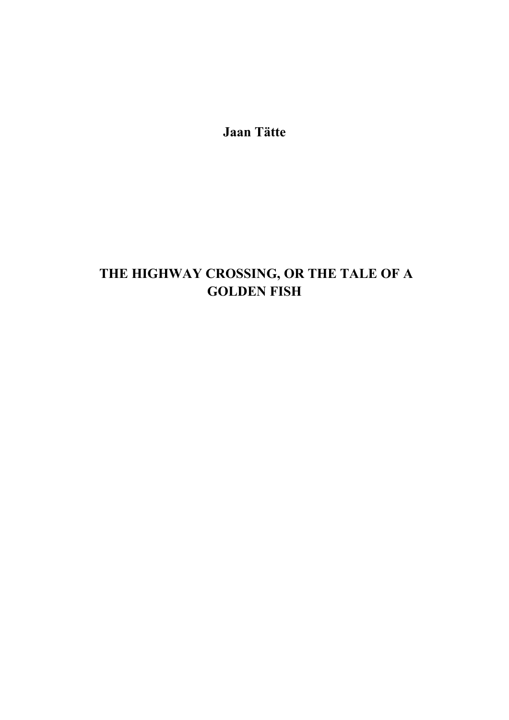Jaan Tätte

## THE HIGHWAY CROSSING, OR THE TALE OF A **GOLDEN FISH**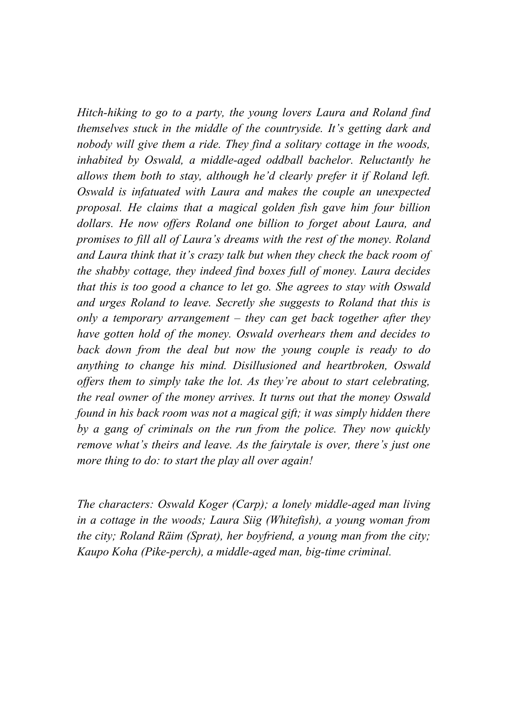*Hitch-hiking to go to a party, the young lovers Laura and Roland find themselves stuck in the middle of the countryside. It's getting dark and nobody will give them a ride. They find a solitary cottage in the woods, inhabited by Oswald, a middle-aged oddball bachelor. Reluctantly he allows them both to stay, although he'd clearly prefer it if Roland left. Oswald is infatuated with Laura and makes the couple an unexpected proposal. He claims that a magical golden fish gave him four billion dollars. He now offers Roland one billion to forget about Laura, and promises to fill all of Laura's dreams with the rest of the money. Roland and Laura think that it's crazy talk but when they check the back room of the shabby cottage, they indeed find boxes full of money. Laura decides that this is too good a chance to let go. She agrees to stay with Oswald and urges Roland to leave. Secretly she suggests to Roland that this is only a temporary arrangement – they can get back together after they have gotten hold of the money. Oswald overhears them and decides to back down from the deal but now the young couple is ready to do anything to change his mind. Disillusioned and heartbroken, Oswald offers them to simply take the lot. As they're about to start celebrating, the real owner of the money arrives. It turns out that the money Oswald found in his back room was not a magical gift; it was simply hidden there by a gang of criminals on the run from the police. They now quickly remove what's theirs and leave. As the fairytale is over, there's just one more thing to do: to start the play all over again!*

*The characters: Oswald Koger (Carp); a lonely middle-aged man living in a cottage in the woods; Laura Siig (Whitefish), a young woman from the city; Roland Räim (Sprat), her boyfriend, a young man from the city; Kaupo Koha (Pike-perch), a middle-aged man, big-time criminal.*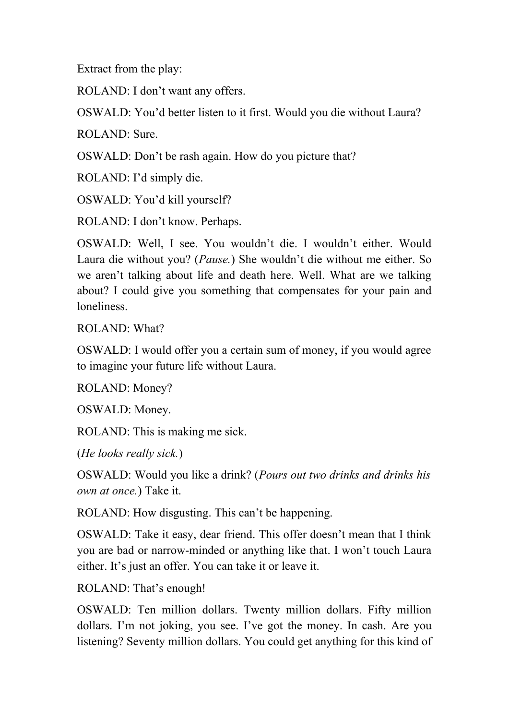Extract from the play:

ROLAND: I don't want any offers.

OSWALD: You'd better listen to it first. Would you die without Laura?

ROLAND: Sure.

OSWALD: Don't be rash again. How do you picture that?

ROLAND: I'd simply die.

OSWALD: You'd kill yourself?

ROLAND: I don't know. Perhaps.

OSWALD: Well, I see. You wouldn't die. I wouldn't either. Would Laura die without you? (*Pause.*) She wouldn't die without me either. So we aren't talking about life and death here. Well. What are we talking about? I could give you something that compensates for your pain and loneliness.

ROLAND: What?

OSWALD: I would offer you a certain sum of money, if you would agree to imagine your future life without Laura.

ROLAND: Money?

OSWALD: Money.

ROLAND: This is making me sick.

(*He looks really sick.*)

OSWALD: Would you like a drink? (*Pours out two drinks and drinks his own at once.*) Take it.

ROLAND: How disgusting. This can't be happening.

OSWALD: Take it easy, dear friend. This offer doesn't mean that I think you are bad or narrow-minded or anything like that. I won't touch Laura either. It's just an offer. You can take it or leave it.

ROLAND: That's enough!

OSWALD: Ten million dollars. Twenty million dollars. Fifty million dollars. I'm not joking, you see. I've got the money. In cash. Are you listening? Seventy million dollars. You could get anything for this kind of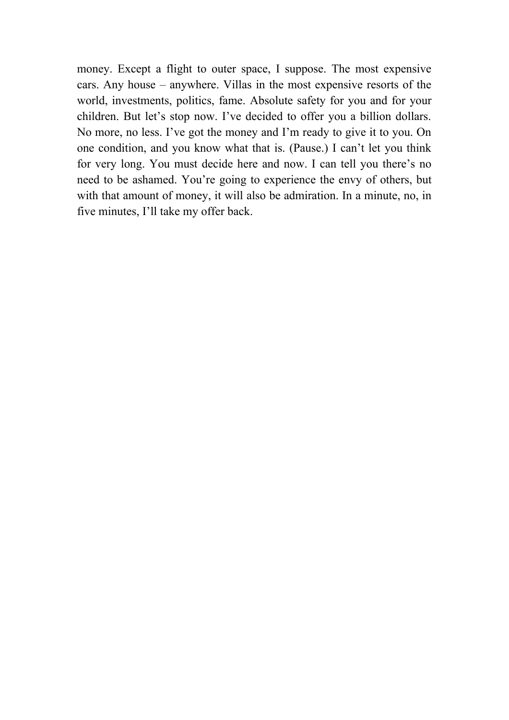money. Except a flight to outer space, I suppose. The most expensive cars. Any house – anywhere. Villas in the most expensive resorts of the world, investments, politics, fame. Absolute safety for you and for your children. But let's stop now. I've decided to offer you a billion dollars. No more, no less. I've got the money and I'm ready to give it to you. On one condition, and you know what that is. (Pause.) I can't let you think for very long. You must decide here and now. I can tell you there's no need to be ashamed. You're going to experience the envy of others, but with that amount of money, it will also be admiration. In a minute, no, in five minutes, I'll take my offer back.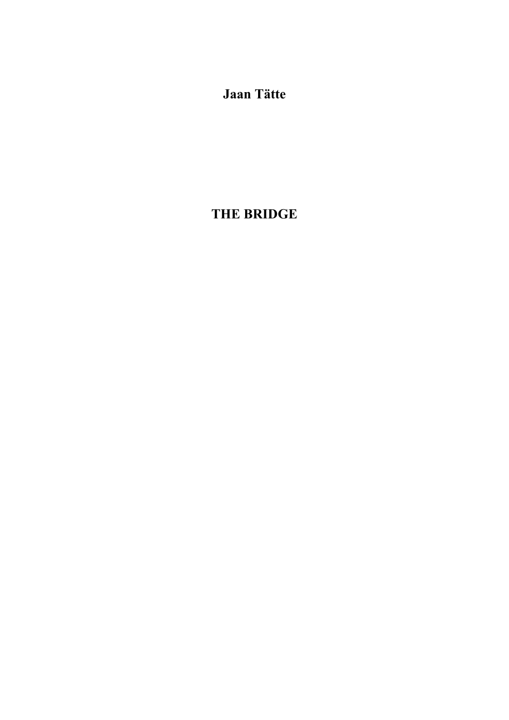Jaan Tätte

## THE BRIDGE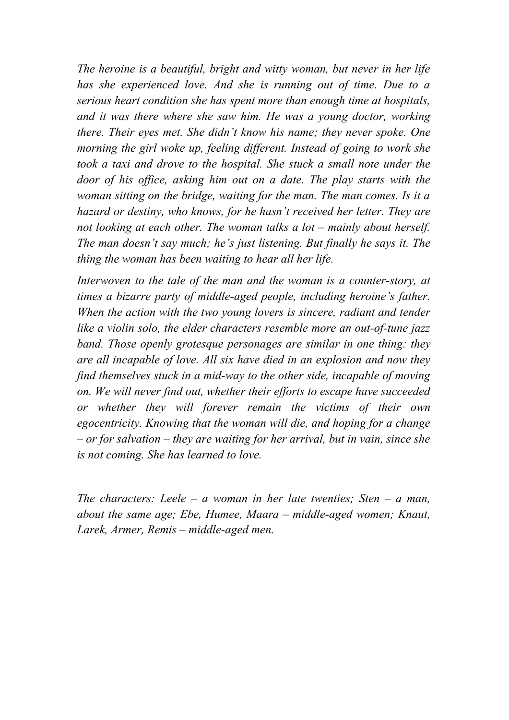*The heroine is a beautiful, bright and witty woman, but never in her life has she experienced love. And she is running out of time. Due to a serious heart condition she has spent more than enough time at hospitals, and it was there where she saw him. He was a young doctor, working there. Their eyes met. She didn't know his name; they never spoke. One morning the girl woke up, feeling different. Instead of going to work she took a taxi and drove to the hospital. She stuck a small note under the door of his office, asking him out on a date. The play starts with the woman sitting on the bridge, waiting for the man. The man comes. Is it a hazard or destiny, who knows, for he hasn't received her letter. They are not looking at each other. The woman talks a lot – mainly about herself. The man doesn't say much; he's just listening. But finally he says it. The thing the woman has been waiting to hear all her life.*

*Interwoven to the tale of the man and the woman is a counter-story, at times a bizarre party of middle-aged people, including heroine's father. When the action with the two young lovers is sincere, radiant and tender like a violin solo, the elder characters resemble more an out-of-tune jazz band. Those openly grotesque personages are similar in one thing: they are all incapable of love. All six have died in an explosion and now they find themselves stuck in a mid-way to the other side, incapable of moving on. We will never find out, whether their efforts to escape have succeeded or whether they will forever remain the victims of their own egocentricity. Knowing that the woman will die, and hoping for a change – or for salvation – they are waiting for her arrival, but in vain, since she is not coming. She has learned to love.*

*The characters: Leele – a woman in her late twenties; Sten – a man, about the same age; Ebe, Humee, Maara – middle-aged women; Knaut, Larek, Armer, Remis – middle-aged men.*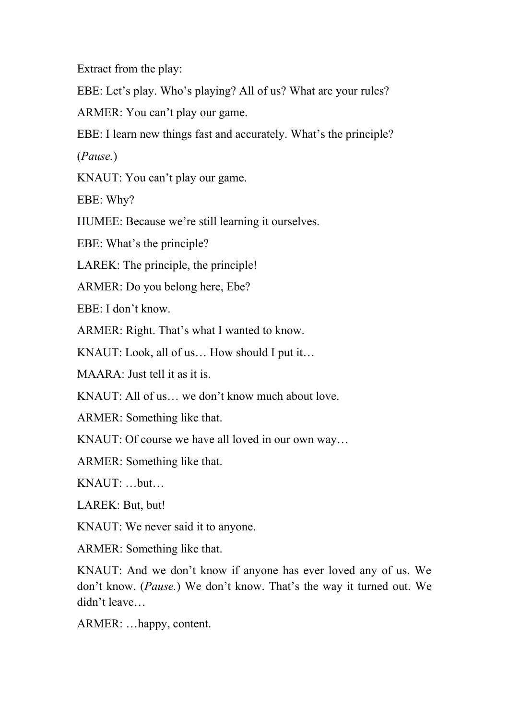Extract from the play:

EBE: Let's play. Who's playing? All of us? What are your rules?

ARMER: You can't play our game.

EBE: I learn new things fast and accurately. What's the principle?

(*Pause.*)

KNAUT: You can't play our game.

EBE: Why?

HUMEE: Because we're still learning it ourselves.

EBE: What's the principle?

LAREK: The principle, the principle!

ARMER: Do you belong here, Ebe?

EBE: I don't know.

ARMER: Right. That's what I wanted to know.

KNAUT: Look, all of us… How should I put it…

MAARA: Just tell it as it is.

KNAUT: All of us… we don't know much about love.

ARMER: Something like that.

KNAUT: Of course we have all loved in our own way…

ARMER: Something like that.

KNAUT: …but…

LAREK: But, but!

KNAUT: We never said it to anyone.

ARMER: Something like that.

KNAUT: And we don't know if anyone has ever loved any of us. We don't know. (*Pause.*) We don't know. That's the way it turned out. We didn't leave…

ARMER: …happy, content.